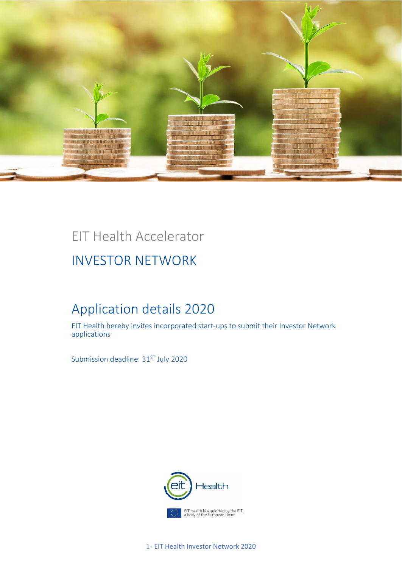

## EIT Health Accelerator

## INVESTOR NETWORK

## Application details 2020

EIT Health hereby invites incorporated start-ups to submit their Investor Network applications

Submission deadline: 31<sup>ST</sup> July 2020



1- EIT Health Investor Network 2020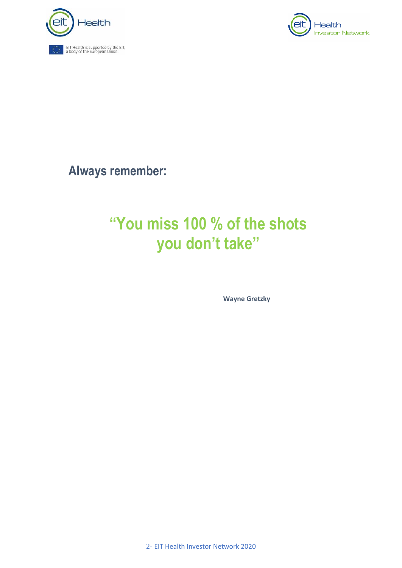



**Always remember:**

# **"You miss 100 % of the shots you don't take"**

**Wayne Gretzky**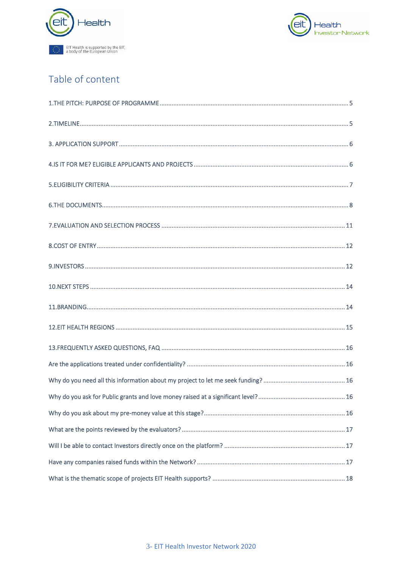



## Table of content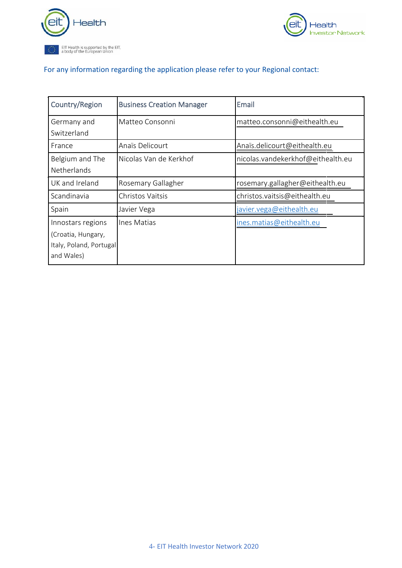



## For any information regarding the application please refer to your Regional contact:

| Country/Region          | <b>Business Creation Manager</b> | Email                             |
|-------------------------|----------------------------------|-----------------------------------|
| Germany and             | Matteo Consonni                  | matteo.consonni@eithealth.eu      |
| Switzerland             |                                  |                                   |
| France                  | Anaïs Delicourt                  | Anaïs.delicourt@eithealth.eu      |
| Belgium and The         | Nicolas Van de Kerkhof           | nicolas.vandekerkhof@eithealth.eu |
| <b>Netherlands</b>      |                                  |                                   |
| UK and Ireland          | Rosemary Gallagher               | rosemary.gallagher@eithealth.eu   |
| Scandinavia             | Christos Vaitsis                 | christos.vaitsis@eithealth.eu     |
| Spain                   | Javier Vega                      | javier. vega@eithealth.eu         |
| Innostars regions       | Ines Matias                      | ines.matias@eithealth.eu          |
| (Croatia, Hungary,      |                                  |                                   |
| Italy, Poland, Portugal |                                  |                                   |
| and Wales)              |                                  |                                   |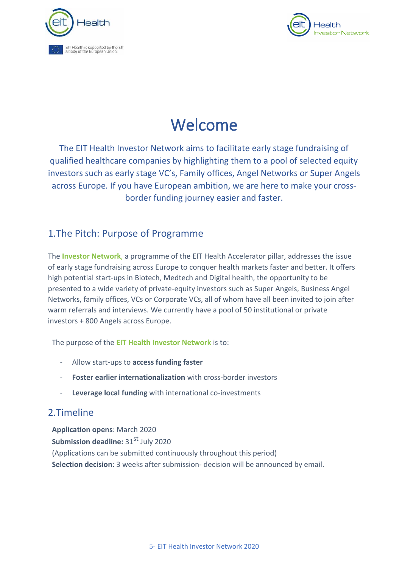



# Welcome

The EIT Health Investor Network aims to facilitate early stage fundraising of qualified healthcare companies by highlighting them to a pool of selected equity investors such as early stage VC's, Family offices, Angel Networks or Super Angels across Europe. If you have European ambition, we are here to make your crossborder funding journey easier and faster.

## <span id="page-4-0"></span>1.The Pitch: Purpose of Programme

The **Investor Network**, a programme of the EIT Health Accelerator pillar, addresses the issue of early stage fundraising across Europe to conquer health markets faster and better. It offers high potential start-ups in Biotech, Medtech and Digital health, the opportunity to be presented to a wide variety of private-equity investors such as Super Angels, Business Angel Networks, family offices, VCs or Corporate VCs, all of whom have all been invited to join after warm referrals and interviews. We currently have a pool of 50 institutional or private investors + 800 Angels across Europe.

The purpose of the **EIT Health Investor Network** is to:

- Allow start-ups to **access funding faster**
- **Foster earlier internationalization** with cross-border investors
- Leverage local funding with international co-investments

### <span id="page-4-1"></span>2.Timeline

**Application opens**: March 2020 **Submission deadline:** 31<sup>st</sup> July 2020 (Applications can be submitted continuously throughout this period) **Selection decision**: 3 weeks after submission- decision will be announced by email.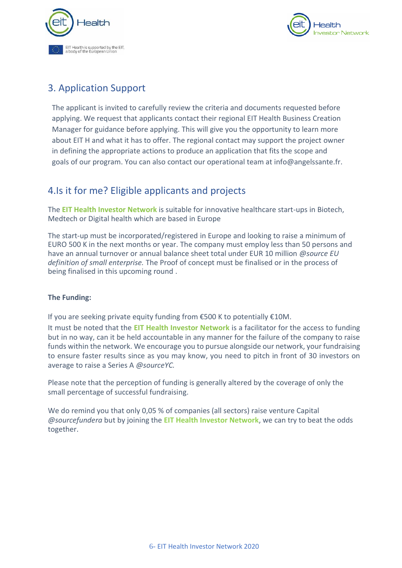



## <span id="page-5-0"></span>3. Application Support

The applicant is invited to carefully review the criteria and documents requested before applying. We request that applicants contact their regional EIT Health Business Creation Manager for guidance before applying. This will give you the opportunity to learn more about EIT H and what it has to offer. The regional contact may support the project owner in defining the appropriate actions to produce an application that fits the scope and goals of our program. You can also contact our operational team at info@angelssante.fr.

## <span id="page-5-1"></span>4.Is it for me? Eligible applicants and projects

The **EIT Health Investor Network** is suitable for innovative healthcare start-ups in Biotech, Medtech or Digital health which are based in Europe

The start-up must be incorporated/registered in Europe and looking to raise a minimum of EURO 500 K in the next months or year. The company must employ less than 50 persons and have an annual turnover or annual balance sheet total under EUR 10 million *@source EU definition of small enterprise.* The Proof of concept must be finalised or in the process of being finalised in this upcoming round .

#### **The Funding:**

If you are seeking private equity funding from €500 K to potentially €10M.

It must be noted that the **EIT Health Investor Network** is a facilitator for the access to funding but in no way, can it be held accountable in any manner for the failure of the company to raise funds within the network. We encourage you to pursue alongside our network, your fundraising to ensure faster results since as you may know, you need to pitch in front of 30 investors on average to raise a Series A *@sourceYC.*

Please note that the perception of funding is generally altered by the coverage of only the small percentage of successful fundraising.

We do remind you that only 0,05 % of companies (all sectors) raise venture Capital *@sourcefundera* but by joining the **EIT Health Investor Network**, we can try to beat the odds together.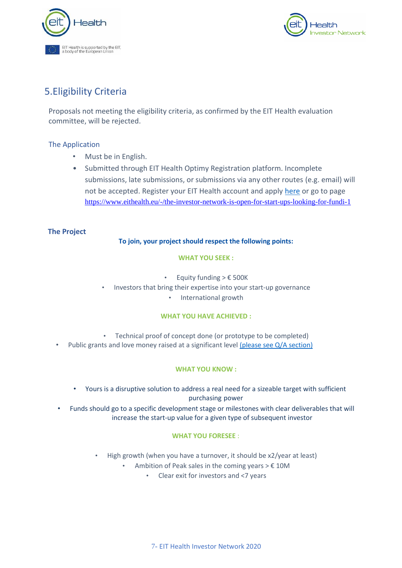



### <span id="page-6-0"></span>5.Eligibility Criteria

Proposals not meeting the eligibility criteria, as confirmed by the EIT Health evaluation committee, will be rejected.

#### The Application

- Must be in English.
- Submitted through EIT Health Optimy Registration platform. Incomplete submissions, late submissions, or submissions via any other routes (e.g. email) will not be accepted. Register your EIT Health account and apply [here](https://eithealth.optimytool.com/en/user/login/?returnUrl=eyJ0eXAiOiJKV1QiLCJhbGciOiJIUzI1NiJ9.eyJyZXR1cm5VcmwiOiJcL2VuXC9wcm9qZWN0XC9uZXdcL3ByaXZhdGVcLz9mb3JtPTE1MWY0YzIxLWU5ZDktNThjNS1hYjE4LWI3ZmZkMzA1NTIxZCZrZXk9ODhhZGNkMzVlNmU5N2MyMTFjYjUzZDYyY2EzNjQ0ODU4YTAwODQzOCIsImp3dEV4cGlyeURhdGUiOiIyMDE5LTA3LTMwIDA3OjQyOjAzIn0.WcMPJ6M8XZIn9MPfx9yODv0CIAvju2dZ0i3x1znfFMc) or go to page <https://www.eithealth.eu/-/the-investor-network-is-open-for-start-ups-looking-for-fundi-1>

#### **The Project**

#### **To join, your project should respect the following points:**

#### **WHAT YOU SEEK :**

- Equity funding  $> \epsilon$  500K
- Investors that bring their expertise into your start-up governance
	- International growth

#### **WHAT YOU HAVE ACHIEVED :**

- Technical proof of concept done (or prototype to be completed)
- Public grants and love money raised at a significant level [\(please see Q/A section\)](#page-15-5)

#### **WHAT YOU KNOW :**

- Yours is a disruptive solution to address a real need for a sizeable target with sufficient purchasing power
- Funds should go to a specific development stage or milestones with clear deliverables that will increase the start-up value for a given type of subsequent investor

#### **WHAT YOU FORESEE** :

- High growth (when you have a turnover, it should be x2/year at least)
	- Ambition of Peak sales in the coming years  $> \epsilon$  10M
		- Clear exit for investors and <7 years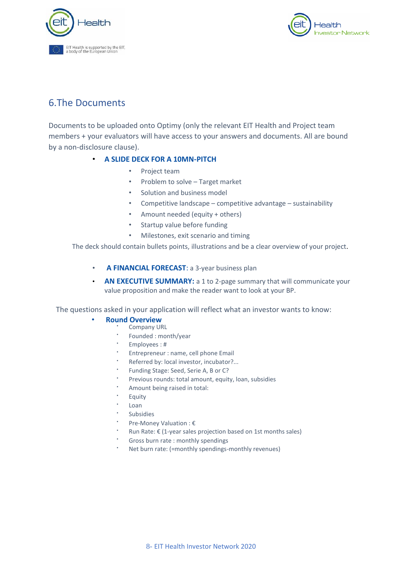



### <span id="page-7-0"></span>6.The Documents

Documents to be uploaded onto Optimy (only the relevant EIT Health and Project team members + your evaluators will have access to your answers and documents. All are bound by a non-disclosure clause).

#### • **A SLIDE DECK FOR A 10MN-PITCH**

- Project team
- Problem to solve Target market
- Solution and business model
- Competitive landscape competitive advantage sustainability
- Amount needed (equity + others)
- Startup value before funding
- Milestones, exit scenario and timing

The deck should contain bullets points, illustrations and be a clear overview of your project.

- **A FINANCIAL FORECAST**: a 3-year business plan
- **AN EXECUTIVE SUMMARY:** a 1 to 2-page summary that will communicate your value proposition and make the reader want to look at your BP.

The questions asked in your application will reflect what an investor wants to know:

#### • **Round Overview**

- Company URL
	- Founded : month/year
	- Employees: #
	- Entrepreneur : name, cell phone Email
	- Referred by: local investor, incubator?...
	- Funding Stage: Seed, Serie A, B or C?
	- Previous rounds: total amount, equity, loan, subsidies
	- Amount being raised in total:
	- Equity
	- Loan
	- **Subsidies**
	- Pre-Money Valuation : €
	- Run Rate: € (1-year sales projection based on 1st months sales)
	- Gross burn rate : monthly spendings
	- Net burn rate: (=monthly spendings-monthly revenues)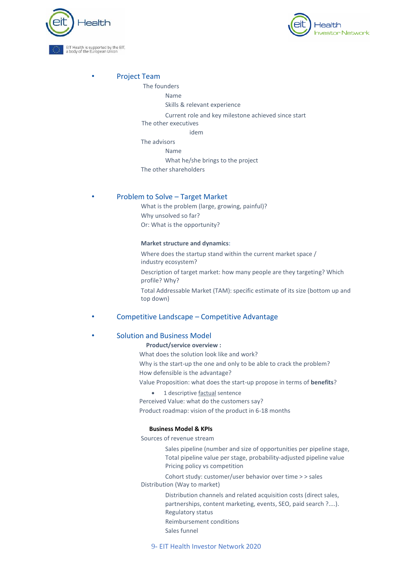



#### • Project Team

#### The founders

#### Name

Skills & relevant experience

Current role and key milestone achieved since start

The other executives

idem

The advisors

Name

What he/she brings to the project

The other shareholders

#### • Problem to Solve – Target Market

What is the problem (large, growing, painful)? Why unsolved so far? Or: What is the opportunity?

#### **Market structure and dynamics**:

Where does the startup stand within the current market space / industry ecosystem?

Description of target market: how many people are they targeting? Which profile? Why?

Total Addressable Market (TAM): specific estimate of its size (bottom up and top down)

#### • Competitive Landscape – Competitive Advantage

#### • Solution and Business Model

#### **Product/service overview :**

What does the solution look like and work?

Why is the start-up the one and only to be able to crack the problem?

How defensible is the advantage?

Value Proposition: what does the start-up propose in terms of **benefits**?

• 1 descriptive factual sentence

Perceived Value: what do the customers say?

Product roadmap: vision of the product in 6-18 months

#### **Business Model & KPIs**

Sources of revenue stream

Sales pipeline (number and size of opportunities per pipeline stage, Total pipeline value per stage, probability-adjusted pipeline value Pricing policy vs competition

Cohort study: customer/user behavior over time > > sales Distribution (Way to market)

> Distribution channels and related acquisition costs (direct sales, partnerships, content marketing, events, SEO, paid search ?....). Regulatory status Reimbursement conditions Sales funnel

9- EIT Health Investor Network 2020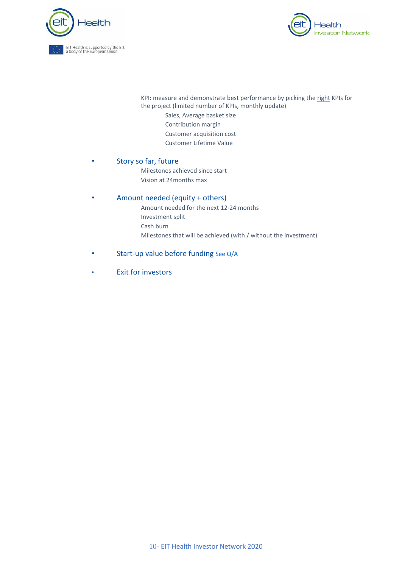



KPI: measure and demonstrate best performance by picking the right KPIs for the project (limited number of KPIs, monthly update)

- Sales, Average basket size
- Contribution margin
- Customer acquisition cost
- Customer Lifetime Value

#### • Story so far, future

Milestones achieved since start Vision at 24months max

#### • Amount needed (equity + others)

Amount needed for the next 12-24 months

- Investment split
- Cash burn
- Milestones that will be achieved (with / without the investment)
- Start-up value before funding [See Q/A](#page-15-6)
- Exit for investors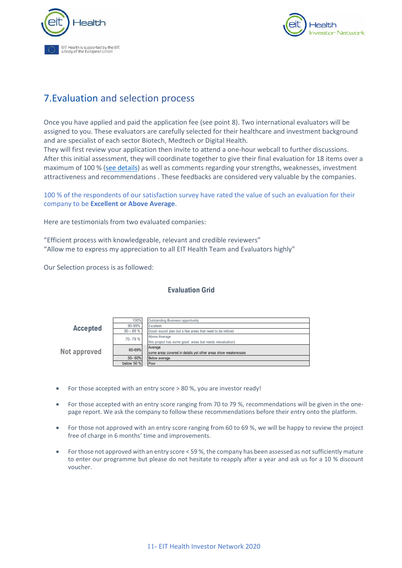



## <span id="page-10-0"></span>7.Evaluation and selection process

Once you have applied and paid the application fee (see point 8). Two international evaluators will be assigned to you. These evaluators are carefully selected for their healthcare and investment background and are specialist of each sector Biotech, Medtech or Digital Health.

They will first review your application then invite to attend a one-hour webcall to further discussions. After this initial assessment, they will coordinate together to give their final evaluation for 18 items over a maximum of 100 % [\(see details\)](#page-16-3) as well as comments regarding your strengths, weaknesses, investment attractiveness and recommendations . These feedbacks are considered very valuable by the companies.

100 % of the respondents of our satisfaction survey have rated the value of such an evaluation for their company to be **Excellent or Above Average**.

Here are testimonials from two evaluated companies:

"Efficient process with knowledgeable, relevant and credible reviewers" "Allow me to express my appreciation to all EIT Health Team and Evaluators highly"

Our Selection process is as followed:

N

#### **Evaluation Grid**

| <b>Accepted</b> | 100%         | Outstanding Business opportunity                               |
|-----------------|--------------|----------------------------------------------------------------|
|                 | 90-99%       | Excellent                                                      |
|                 | $80 - 89%$   | Good- sound plan but a few areas that need to be refined       |
|                 | 70-79%       | Above Average                                                  |
|                 |              | this project has some good areas but needs reevaluation)       |
| ot approved     | 60-69%       | Average                                                        |
|                 |              | some areas covered in details yet other areas show weakenesses |
|                 | 50-60%       | <b>Below</b> average                                           |
|                 | below 50 $%$ | <b>Poor</b>                                                    |

- For those accepted with an entry score > 80 %, you are investor ready!
- For those accepted with an entry score ranging from 70 to 79 %, recommendations will be given in the onepage report. We ask the company to follow these recommendations before their entry onto the platform.
- For those not approved with an entry score ranging from 60 to 69 %, we will be happy to review the project free of charge in 6 months' time and improvements.
- For those not approved with an entry score < 59 %, the company has been assessed as not sufficiently mature to enter our programme but please do not hesitate to reapply after a year and ask us for a 10 % discount voucher.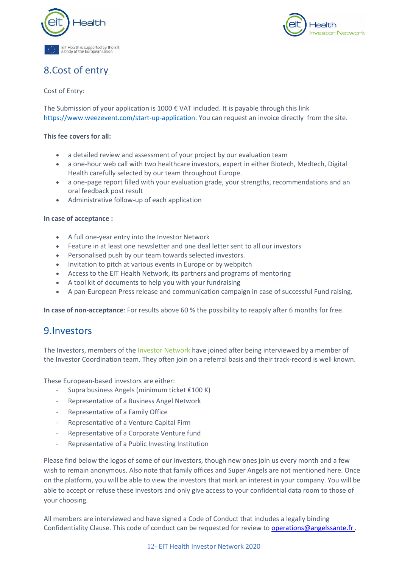



## <span id="page-11-0"></span>8.Cost of entry

#### Cost of Entry:

The Submission of your application is 1000  $\epsilon$  VAT included. It is payable through this link [https://www.weezevent.com/start-up-application.](https://www.weezevent.com/start-up-application) You can request an invoice directly from the site.

#### **This fee covers for all:**

- a detailed review and assessment of your project by our evaluation team
- a one-hour web call with two healthcare investors, expert in either Biotech, Medtech, Digital Health carefully selected by our team throughout Europe.
- a one-page report filled with your evaluation grade, your strengths, recommendations and an oral feedback post result
- Administrative follow-up of each application

#### **In case of acceptance :**

- A full one-year entry into the Investor Network
- Feature in at least one newsletter and one deal letter sent to all our investors
- Personalised push by our team towards selected investors.
- Invitation to pitch at various events in Europe or by webpitch
- Access to the EIT Health Network, its partners and programs of mentoring
- A tool kit of documents to help you with your fundraising
- A pan-European Press release and communication campaign in case of successful Fund raising.

**In case of non-acceptance**: For results above 60 % the possibility to reapply after 6 months for free.

### <span id="page-11-1"></span>9.Investors

The Investors, members of the Investor Network have joined after being interviewed by a member of the Investor Coordination team. They often join on a referral basis and their track-record is well known.

These European-based investors are either:

- Supra business Angels (minimum ticket €100 K)
- Representative of a Business Angel Network
- Representative of a Family Office
- Representative of a Venture Capital Firm
- Representative of a Corporate Venture fund
- Representative of a Public Investing Institution

Please find below the logos of some of our investors, though new ones join us every month and a few wish to remain anonymous. Also note that family offices and Super Angels are not mentioned here. Once on the platform, you will be able to view the investors that mark an interest in your company. You will be able to accept or refuse these investors and only give access to your confidential data room to those of your choosing.

All members are interviewed and have signed a Code of Conduct that includes a legally binding Confidentiality Clause. This code of conduct can be requested for review to [operations@angelssante.fr](mailto:operations@angelssante.fr) .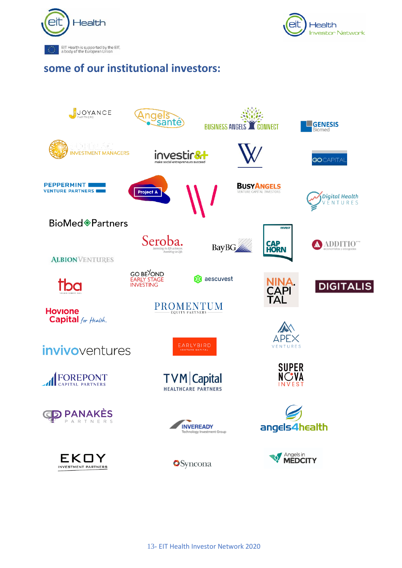



## **some of our institutional investors:**

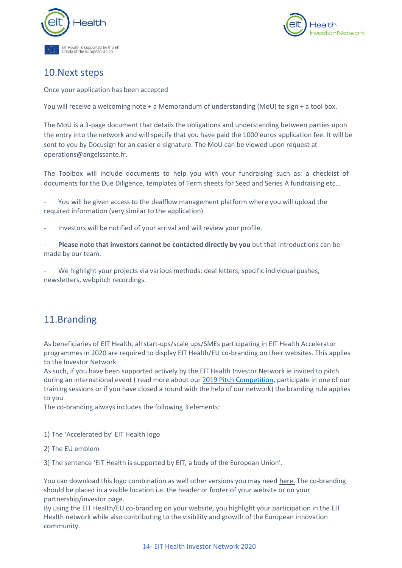



### <span id="page-13-0"></span>10.Next steps

Once your application has been accepted

You will receive a welcoming note + a Memorandum of understanding (MoU) to sign + a tool box.

The MoU is a 3-page document that details the obligations and understanding between parties upon the entry into the network and will specify that you have paid the 1000 euros application fee. It will be sent to you by Docusign for an easier e-signature. The MoU can be viewed upon request at [operations@angelssante.fr.](mailto:operations@angelssante.fr)

The Toolbox will include documents to help you with your fundraising such as: a checklist of documents for the Due Diligence, templates of Term sheets for Seed and Series A fundraising etc…

You will be given access to the dealflow management platform where you will upload the required information (very similar to the application)

- Investors will be notified of your arrival and will review your profile.

Please note that investors cannot be contacted directly by you but that introductions can be made by our team.

We highlight your projects via various methods: deal letters, specific individual pushes, newsletters, webpitch recordings.

### <span id="page-13-1"></span>11.Branding

As beneficiaries of EIT Health, all start-ups/scale ups/SMEs participating in EIT Health Accelerator programmes in 2020 are required to display EIT Health/EU co-branding on their websites. This applies to the Investor Network.

As such, if you have been supported actively by the EIT Health Investor Network ie invited to pitch during an international event (read more about our [2019 Pitch Competition,](https://eithealth.eu/news-article/treatment-for-eye-disorder-is-winner-as-eit-health-summit-hosts-investor-networks-pitch-contest/) participate in one of our training sessions or if you have closed a round with the help of our network) the branding rule applies to you.

The co-branding always includes the following 3 elements:

- 1) The 'Accelerated by' EIT Health logo
- 2) The EU emblem

3) The sentence 'EIT Health is supported by EIT, a body of the European Union'.

You can download this logo combination as well other versions you may need [here.](https://fileshare.eithealth.eu/ui/core/index.html?mode=public#expl-tabl./SHARED/laura.suhlrie/YF0QtiLxo1ZZFQlc) The co-branding should be placed in a visible location i.e. the header or footer of your website or on your partnership/investor page.

By using the EIT Health/EU co-branding on your website, you highlight your participation in the EIT Health network while also contributing to the visibility and growth of the European innovation community.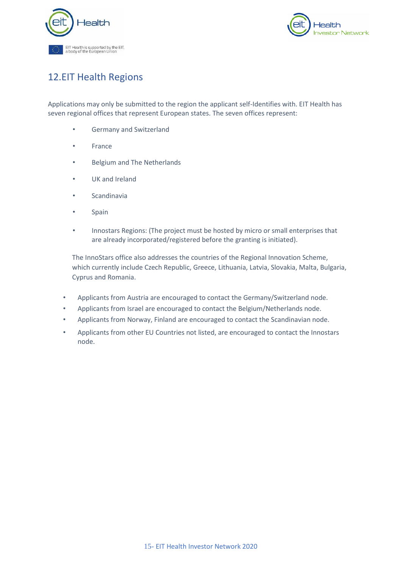



## <span id="page-14-0"></span>12.EIT Health Regions

Applications may only be submitted to the region the applicant self-Identifies with. EIT Health has seven regional offices that represent European states. The seven offices represent:

- Germany and Switzerland
- **France**
- Belgium and The Netherlands
- UK and Ireland
- **Scandinavia**
- **Spain**
- Innostars Regions: (The project must be hosted by micro or small enterprises that are already incorporated/registered before the granting is initiated).

The InnoStars office also addresses the countries of the Regional Innovation Scheme, which currently include Czech Republic, Greece, Lithuania, Latvia, Slovakia, Malta, Bulgaria, Cyprus and Romania.

- Applicants from Austria are encouraged to contact the Germany/Switzerland node.
- Applicants from Israel are encouraged to contact the Belgium/Netherlands node.
- Applicants from Norway, Finland are encouraged to contact the Scandinavian node.
- Applicants from other EU Countries not listed, are encouraged to contact the Innostars node.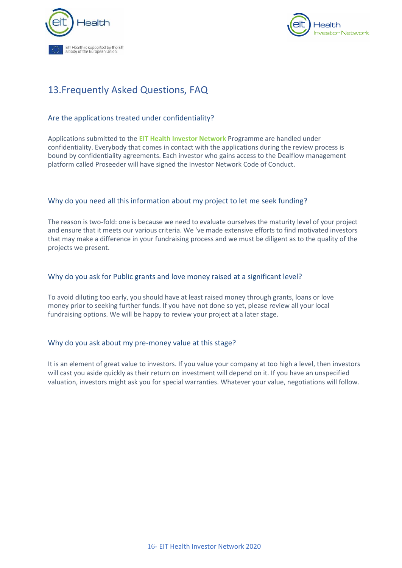



## <span id="page-15-0"></span>13.Frequently Asked Questions, FAQ

#### <span id="page-15-1"></span>Are the applications treated under confidentiality?

Applications submitted to the **EIT Health Investor Network** Programme are handled under confidentiality. Everybody that comes in contact with the applications during the review process is bound by confidentiality agreements. Each investor who gains access to the Dealflow management platform called Proseeder will have signed the Investor Network Code of Conduct.

#### <span id="page-15-2"></span>Why do you need all this information about my project to let me seek funding?

The reason is two-fold: one is because we need to evaluate ourselves the maturity level of your project and ensure that it meets our various criteria. We 've made extensive efforts to find motivated investors that may make a difference in your fundraising process and we must be diligent as to the quality of the projects we present.

#### <span id="page-15-5"></span><span id="page-15-3"></span>Why do you ask for Public grants and love money raised at a significant level?

To avoid diluting too early, you should have at least raised money through grants, loans or love money prior to seeking further funds. If you have not done so yet, please review all your local fundraising options. We will be happy to review your project at a later stage.

#### <span id="page-15-6"></span><span id="page-15-4"></span>Why do you ask about my pre-money value at this stage?

It is an element of great value to investors. If you value your company at too high a level, then investors will cast you aside quickly as their return on investment will depend on it. If you have an unspecified valuation, investors might ask you for special warranties. Whatever your value, negotiations will follow.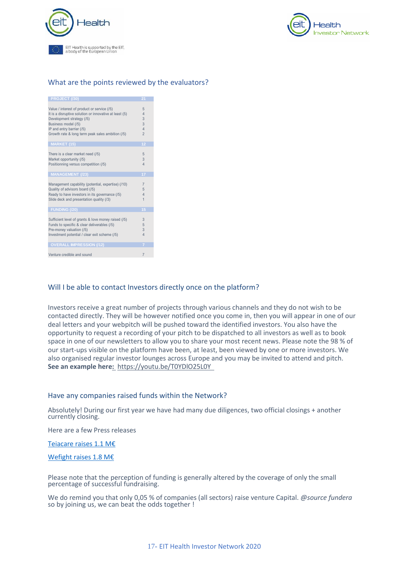

<span id="page-16-3"></span>

#### <span id="page-16-0"></span>What are the points reviewed by the evaluators?

| PROJECT (/30)                                                                                                                                                                                                                              | $\overline{21}$                                                   |
|--------------------------------------------------------------------------------------------------------------------------------------------------------------------------------------------------------------------------------------------|-------------------------------------------------------------------|
| Value / interest of product or service (/5)<br>It is a disruptive solution or innovative at least (5)<br>Development strategy (/5)<br>Business model (/5)<br>IP and entry barrier (/5)<br>Growth rate & long term peak sales ambition (/5) | 5<br>$\overline{4}$<br>3<br>3<br>$\overline{4}$<br>$\overline{2}$ |
| <b>MARKET (15)</b>                                                                                                                                                                                                                         | 12                                                                |
| There is a clear market need (/5)<br>Market opportunity (/5)<br>Positionning versus competition (/5)                                                                                                                                       | 5<br>3<br>$\overline{4}$                                          |
| <b>MANAGEMENT (/23)</b>                                                                                                                                                                                                                    | 17                                                                |
| Management capability (potential, expertise) (/10)<br>Quality of advisors board (/5)<br>Ready to have investors in its governance (/5)<br>Slide deck and presentation quality (/3)                                                         | $\overline{7}$<br>5<br>$\overline{4}$<br>$\overline{1}$           |
| <b>FUNDING (/20)</b>                                                                                                                                                                                                                       | 15                                                                |
| Sufficient level of grants & love money raised (/5)<br>Funds to specific & clear deliverables (/5)<br>Pre-money valuation (/5)<br>Investment potential / clear exit scheme (/5)                                                            | 3<br>5<br>3<br>$\overline{4}$                                     |
| <b>OVERALL IMPRESSION (/12)</b>                                                                                                                                                                                                            | 7                                                                 |
| Venture credible and sound                                                                                                                                                                                                                 | $\overline{7}$                                                    |

#### <span id="page-16-1"></span>Will I be able to contact Investors directly once on the platform?

Investors receive a great number of projects through various channels and they do not wish to be contacted directly. They will be however notified once you come in, then you will appear in one of our deal letters and your webpitch will be pushed toward the identified investors. You also have the opportunity to request a recording of your pitch to be dispatched to all investors as well as to book space in one of our newsletters to allow you to share your most recent news. Please note the 98 % of our start-ups visible on the platform have been, at least, been viewed by one or more investors. We also organised regular investor lounges across Europe and you may be invited to attend and pitch. **See an example her[e:](file:///C:/Users/carol/Dropbox%20(ANGELS%20SANTE)/Investor%20Network%20bcm/old%20documents/%20https/youtu.be/T0YDIO25L0Y)** <https://youtu.be/T0YDlO25L0Y>

#### <span id="page-16-2"></span>Have any companies raised funds within the Network?

Absolutely! During our first year we have had many due diligences, two official closings + another currently closing.

Here are a few Press releases

#### [Teiacare raises 1.1](TeiaCare%20raises%20€1.1M%20in%20funding%20for%20monitoring%20technology%20with%20the%20help%20of%20the%20EIT%20Health%20Investor%20Network) M€

#### [Wefight raises 1.8 M€](https://eithealth.eu/news-article/eit-health-investor-network-helps-french-start-up-raise-e1-8m-to-combat-loneliness-in-chronic-disease/)

Please note that the perception of funding is generally altered by the coverage of only the small percentage of successful fundraising.

We do remind you that only 0,05 % of companies (all sectors) raise venture Capital. *@source fundera* so by joining us, we can beat the odds together !